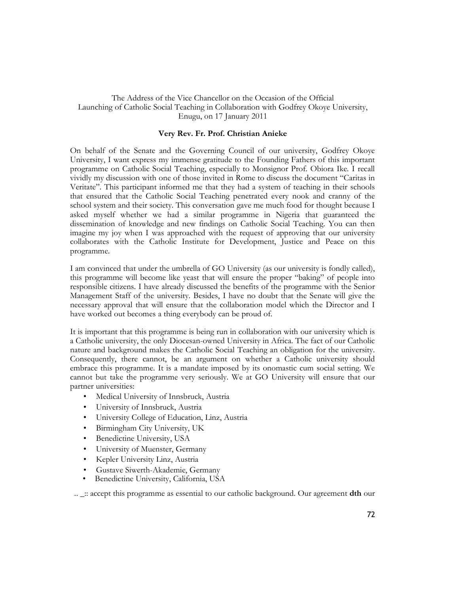## The Address of the Vice Chancellor on the Occasion of the Official Launching of Catholic Social Teaching in Collaboration with Godfrey Okoye University, Enugu, on 17 January 2011

## **Very Rev. Fr. Prof. Christian Anieke**

On behalf of the Senate and the Governing Council of our university, Godfrey Okoye University, I want express my immense gratitude to the Founding Fathers of this important programme on Catholic Social Teaching, especially to Monsignor Prof. Obiora Ike. I recall vividly my discussion with one of those invited in Rome to discuss the document "Caritas in Veritate". This participant informed me that they had a system of teaching in their schools that ensured that the Catholic Social Teaching penetrated every nook and cranny of the school system and their society. This conversation gave me much food for thought because I asked myself whether we had a similar programme in Nigeria that guaranteed the dissemination of knowledge and new findings on Catholic Social Teaching. You can then imagine my joy when I was approached with the request of approving that our university collaborates with the Catholic Institute for Development, Justice and Peace on this programme.

I am convinced that under the umbrella of GO University (as our university is fondly called), this programme will become like yeast that will ensure the proper "baking" of people into responsible citizens. I have already discussed the benefits of the programme with the Senior Management Staff of the university. Besides, I have no doubt that the Senate will give the necessary approval that will ensure that the collaboration model which the Director and I have worked out becomes a thing everybody can be proud of.

It is important that this programme is being run in collaboration with our university which is a Catholic university, the only Diocesan-owned University in Africa. The fact of our Catholic nature and background makes the Catholic Social Teaching an obligation for the university. Consequently, there cannot, be an argument on whether a Catholic university should embrace this programme. It is a mandate imposed by its onomastic cum social setting. We cannot but take the programme very seriously. We at GO University will ensure that our partner universities:

- Medical University of Innsbruck, Austria
- University of Innsbruck, Austria
- University College of Education, Linz, Austria
- Birmingham City University, UK
- Benedictine University, USA
- University of Muenster, Germany
- Kepler University Linz, Austria
- Gustave Siwerth-Akademie, Germany<br>• Benedictine University, California, USA
- Benedictine University, California, USA

.. \_:: accept this programme as essential to our catholic background. Our agreement **dth** our